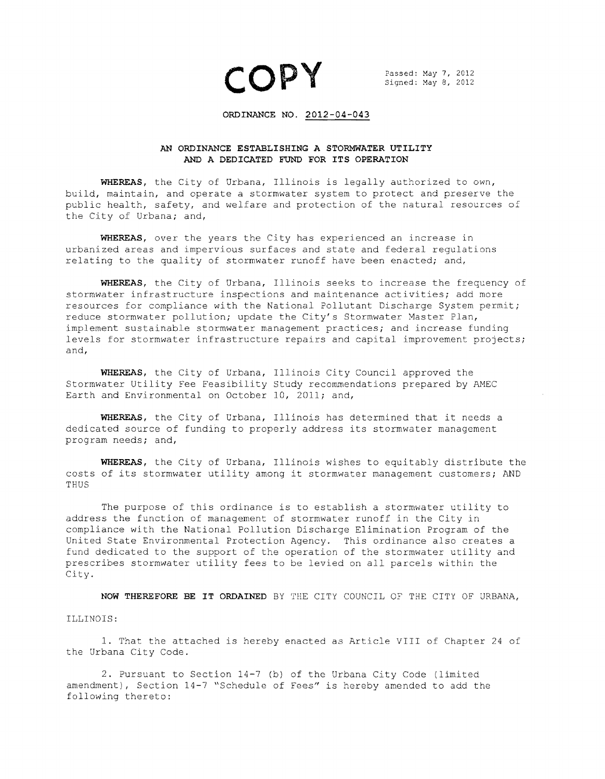$COPY$  Passed: May 7, 2012

## **ORDINANCE NO. 2012-04-043**

## **AN ORDINANCE ESTABLISHING A STORMWATER UTILITY**  AND **A DEDICATED FUND FOR ITS OPERATION**

**WHEREAS,** the City of Urbana, Illinois is legally authorized to own, build, maintain, and operate a stormwater system to protect and preserve the public health, safety, and welfare and protection of the natural resources of the City of Urbana; and,

**WHEREAS,** over the years the City has experienced an increase in urbanized areas and impervious surfaces and state and federal regulations relating to the quality of stormwater runoff have been enacted; and,

**WHEREAS,** the City of Urbana, Illinois seeks to increase the frequency of stormwater infrastructure inspections and maintenance activities; add more resources for compliance with the National Pollutant Discharge System permit; reduce stormwater pollution; update the City's Stormwater Master Plan, implement sustainable stormwater management practices; and increase funding levels for stormwater infrastructure repairs and capital improvement projects; and,

**WHEREAS,** the City of Urbana, Illinois City Council approved the Stormwater Utility Fee Feasibility Study recommendations prepared by AMEC Earth and Environmental on October 10, 2011; and,

**WHEREAS,** the City of Urbana, Illinois has determined that it needs a dedicated source of funding to properly address its stormwater management program needs; and,

**WHEREAS,** the City of Urbana, Illinois wishes to equitably distribute the costs of its stormwater utility among it stormwater management customers; AND THUS

The purpose of this ordinance is to establish a stormwater utility to address the function of management of stormwater runoff in the City in compliance with the National Pollution Discharge Elimination Program of the United State Environmental Protection Agency. This ordinance also creates a fund dedicated to the support of the operation of the stormwater utility and prescribes stormwater utility fees to be levied on all parcels within the City.

**NOW THEREFORE BE IT ORDAINED** BY THE CITY COUNCIL OF THE CITY OF URBANA,

## ILLINOIS:

1. That the attached is hereby enacted as Article VIII of Chapter 24 of the Urbana City Code.

2. Pursuant to Section 14-7 (b) of the Urbana City Code (limited amendment), Section 14-7 "Schedule of Fees" is hereby amended to add the following thereto: